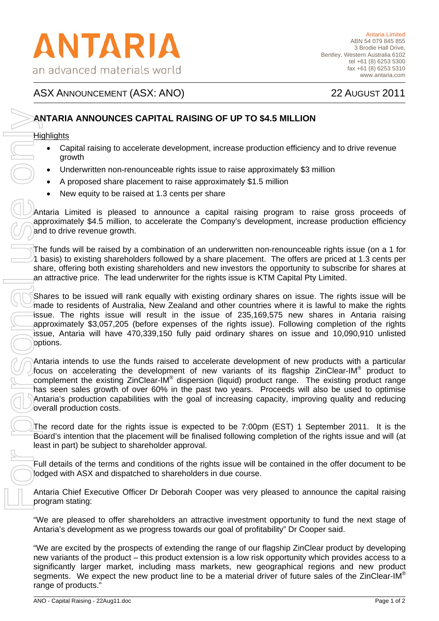# ASX ANNOUNCEMENT (ASX: ANO) 22 AUGUST 2011

# **ANTARIA ANNOUNCES CAPITAL RAISING OF UP TO \$4.5 MILLION**

#### **Highlights**

- Capital raising to accelerate development, increase production efficiency and to drive revenue growth
- Underwritten non-renounceable rights issue to raise approximately \$3 million
- A proposed share placement to raise approximately \$1.5 million
- New equity to be raised at 1.3 cents per share

Antaria Limited is pleased to announce a capital raising program to raise gross proceeds of approximately \$4.5 million, to accelerate the Company's development, increase production efficiency and to drive revenue growth.

The funds will be raised by a combination of an underwritten non-renounceable rights issue (on a 1 for 1 basis) to existing shareholders followed by a share placement. The offers are priced at 1.3 cents per share, offering both existing shareholders and new investors the opportunity to subscribe for shares at an attractive price. The lead underwriter for the rights issue is KTM Capital Pty Limited.

Shares to be issued will rank equally with existing ordinary shares on issue. The rights issue will be made to residents of Australia, New Zealand and other countries where it is lawful to make the rights issue. The rights issue will result in the issue of 235,169,575 new shares in Antaria raising approximately \$3,057,205 (before expenses of the rights issue). Following completion of the rights issue, Antaria will have 470,339,150 fully paid ordinary shares on issue and 10,090,910 unlisted options.

Antaria intends to use the funds raised to accelerate development of new products with a particular focus on accelerating the development of new variants of its flagship ZinClear-IM® product to complement the existing ZinClear-IM® dispersion (liquid) product range. The existing product range has seen sales growth of over 60% in the past two years. Proceeds will also be used to optimise Antaria's production capabilities with the goal of increasing capacity, improving quality and reducing overall production costs.

The record date for the rights issue is expected to be 7:00pm (EST) 1 September 2011. It is the Board's intention that the placement will be finalised following completion of the rights issue and will (at least in part) be subject to shareholder approval.

Full details of the terms and conditions of the rights issue will be contained in the offer document to be lodged with ASX and dispatched to shareholders in due course.

Antaria Chief Executive Officer Dr Deborah Cooper was very pleased to announce the capital raising program stating:

"We are pleased to offer shareholders an attractive investment opportunity to fund the next stage of Antaria's development as we progress towards our goal of profitability" Dr Cooper said.

"We are excited by the prospects of extending the range of our flagship ZinClear product by developing new variants of the product – this product extension is a low risk opportunity which provides access to a significantly larger market, including mass markets, new geographical regions and new product segments. We expect the new product line to be a material driver of future sales of the ZinClear-IM®